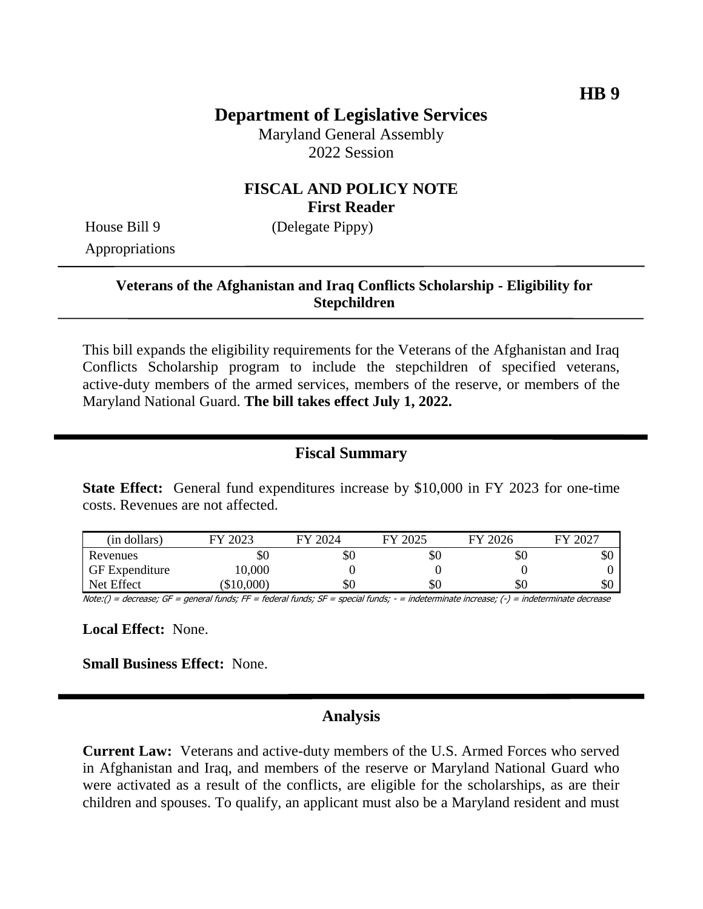Maryland General Assembly 2022 Session

# **FISCAL AND POLICY NOTE First Reader**

House Bill 9 (Delegate Pippy)

Appropriations

#### **Veterans of the Afghanistan and Iraq Conflicts Scholarship - Eligibility for Stepchildren**

This bill expands the eligibility requirements for the Veterans of the Afghanistan and Iraq Conflicts Scholarship program to include the stepchildren of specified veterans, active-duty members of the armed services, members of the reserve, or members of the Maryland National Guard. **The bill takes effect July 1, 2022.**

# **Fiscal Summary**

**State Effect:** General fund expenditures increase by \$10,000 in FY 2023 for one-time costs. Revenues are not affected.

| (in dollars)          | FY 2023  | FY 2024 | FY 2025 | FY 2026 | 2027<br>F <sub>Y</sub> |
|-----------------------|----------|---------|---------|---------|------------------------|
| Revenues              | \$0      | \$0     | УU      | \$0     | \$0                    |
| <b>GF</b> Expenditure | 10,000   |         |         |         |                        |
| Net Effect            | \$10,000 | \$0     | \$0     | \$0     | \$0                    |

Note:() = decrease; GF = general funds; FF = federal funds; SF = special funds; - = indeterminate increase; (-) = indeterminate decrease

**Local Effect:** None.

**Small Business Effect:** None.

#### **Analysis**

**Current Law:** Veterans and active-duty members of the U.S. Armed Forces who served in Afghanistan and Iraq, and members of the reserve or Maryland National Guard who were activated as a result of the conflicts, are eligible for the scholarships, as are their children and spouses. To qualify, an applicant must also be a Maryland resident and must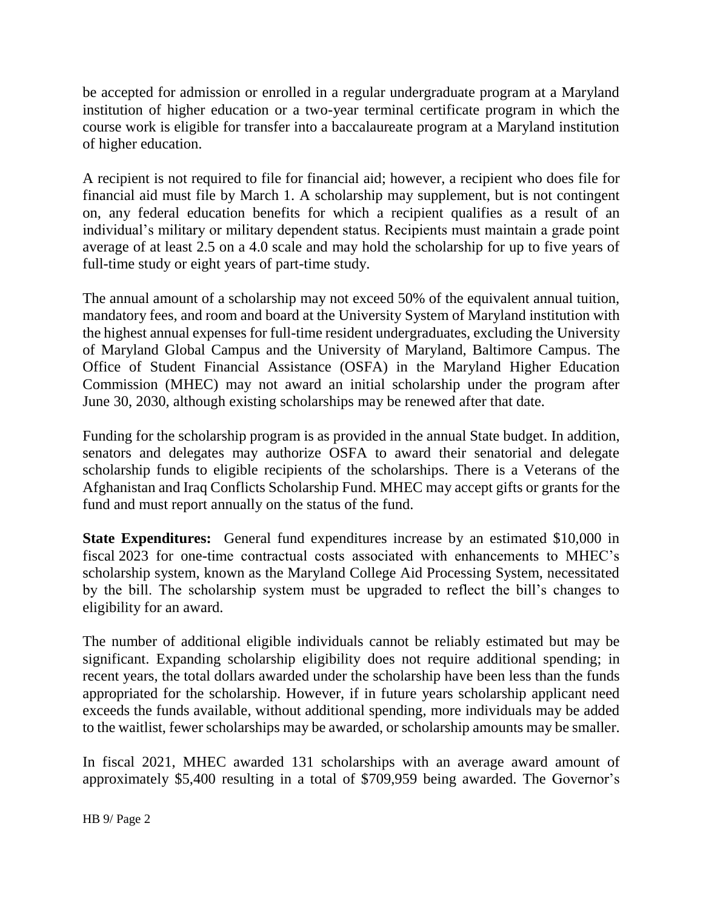be accepted for admission or enrolled in a regular undergraduate program at a Maryland institution of higher education or a two-year terminal certificate program in which the course work is eligible for transfer into a baccalaureate program at a Maryland institution of higher education.

A recipient is not required to file for financial aid; however, a recipient who does file for financial aid must file by March 1. A scholarship may supplement, but is not contingent on, any federal education benefits for which a recipient qualifies as a result of an individual's military or military dependent status. Recipients must maintain a grade point average of at least 2.5 on a 4.0 scale and may hold the scholarship for up to five years of full-time study or eight years of part-time study.

The annual amount of a scholarship may not exceed 50% of the equivalent annual tuition, mandatory fees, and room and board at the University System of Maryland institution with the highest annual expenses for full-time resident undergraduates, excluding the University of Maryland Global Campus and the University of Maryland, Baltimore Campus. The Office of Student Financial Assistance (OSFA) in the Maryland Higher Education Commission (MHEC) may not award an initial scholarship under the program after June 30, 2030, although existing scholarships may be renewed after that date.

Funding for the scholarship program is as provided in the annual State budget. In addition, senators and delegates may authorize OSFA to award their senatorial and delegate scholarship funds to eligible recipients of the scholarships. There is a Veterans of the Afghanistan and Iraq Conflicts Scholarship Fund. MHEC may accept gifts or grants for the fund and must report annually on the status of the fund.

**State Expenditures:** General fund expenditures increase by an estimated \$10,000 in fiscal 2023 for one-time contractual costs associated with enhancements to MHEC's scholarship system, known as the Maryland College Aid Processing System, necessitated by the bill. The scholarship system must be upgraded to reflect the bill's changes to eligibility for an award.

The number of additional eligible individuals cannot be reliably estimated but may be significant. Expanding scholarship eligibility does not require additional spending; in recent years, the total dollars awarded under the scholarship have been less than the funds appropriated for the scholarship. However, if in future years scholarship applicant need exceeds the funds available, without additional spending, more individuals may be added to the waitlist, fewer scholarships may be awarded, or scholarship amounts may be smaller.

In fiscal 2021, MHEC awarded 131 scholarships with an average award amount of approximately \$5,400 resulting in a total of \$709,959 being awarded. The Governor's